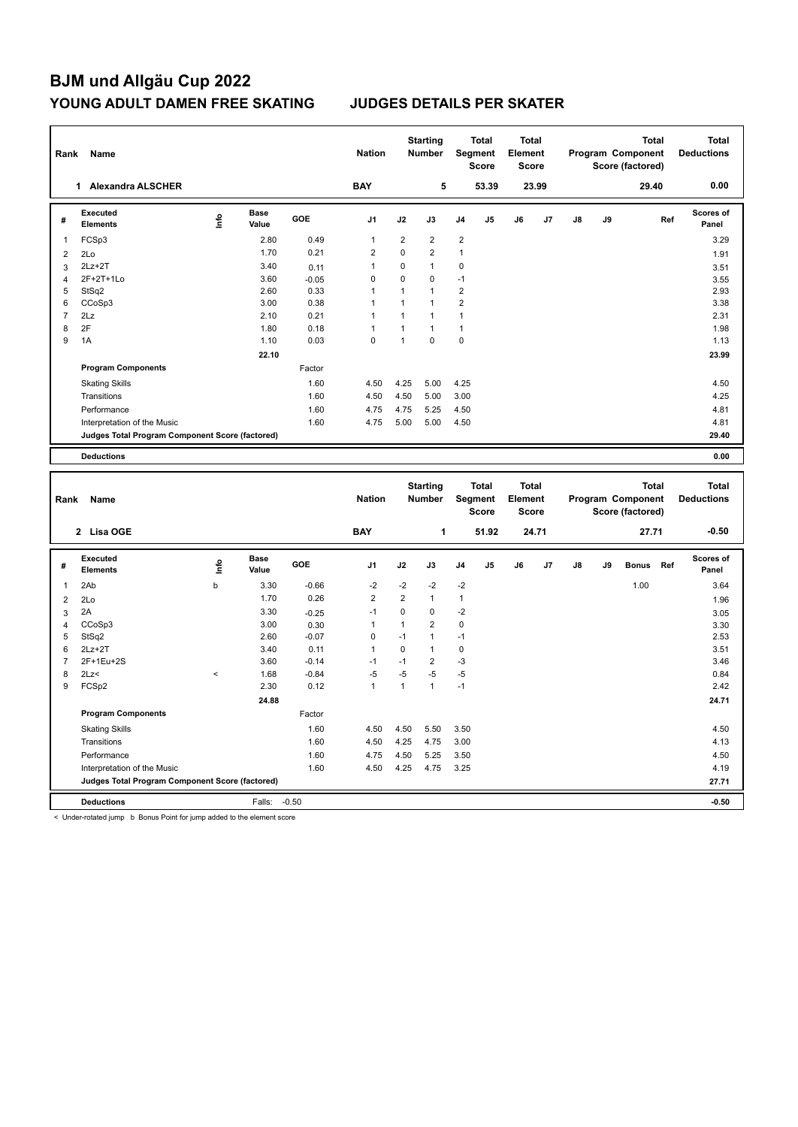| Rank           | Name                                            |                          |                      |                 | <b>Nation</b>          |                            | <b>Starting</b><br><b>Number</b> |                     | <b>Total</b><br>Segment<br><b>Score</b> | <b>Total</b><br>Element<br><b>Score</b> |       |               |    | <b>Total</b><br>Program Component<br>Score (factored) |     | <b>Total</b><br><b>Deductions</b> |
|----------------|-------------------------------------------------|--------------------------|----------------------|-----------------|------------------------|----------------------------|----------------------------------|---------------------|-----------------------------------------|-----------------------------------------|-------|---------------|----|-------------------------------------------------------|-----|-----------------------------------|
|                | 1 Alexandra ALSCHER                             |                          |                      |                 | <b>BAY</b>             |                            | 5                                |                     | 53.39                                   |                                         | 23.99 |               |    | 29.40                                                 |     | 0.00                              |
| #              | <b>Executed</b><br><b>Elements</b>              | lnfo                     | <b>Base</b><br>Value | GOE             | J <sub>1</sub>         | J2                         | J3                               | J4                  | J5                                      | J6                                      | J7    | J8            | J9 |                                                       | Ref | <b>Scores of</b><br>Panel         |
| $\mathbf{1}$   | FCSp3                                           |                          | 2.80                 | 0.49            | $\mathbf{1}$           | $\overline{2}$             | $\overline{2}$                   | $\overline{2}$      |                                         |                                         |       |               |    |                                                       |     | 3.29                              |
| $\overline{2}$ | 2Lo                                             |                          | 1.70                 | 0.21            | $\overline{2}$         | $\mathbf 0$                | $\overline{2}$                   | $\mathbf{1}$        |                                         |                                         |       |               |    |                                                       |     | 1.91                              |
| $\mathbf{3}$   | $2Lz+2T$                                        |                          | 3.40                 | 0.11            | $\mathbf{1}$           | $\Omega$                   | $\mathbf{1}$                     | $\mathbf 0$         |                                         |                                         |       |               |    |                                                       |     | 3.51                              |
| $\overline{4}$ | 2F+2T+1Lo                                       |                          | 3.60                 | $-0.05$         | $\mathbf 0$            | 0                          | $\mathbf 0$                      | $-1$                |                                         |                                         |       |               |    |                                                       |     | 3.55                              |
| 5              | StSq2                                           |                          | 2.60                 | 0.33            | 1                      | $\mathbf{1}$               | $\mathbf{1}$                     | $\overline{2}$      |                                         |                                         |       |               |    |                                                       |     | 2.93                              |
| 6              | CCoSp3                                          |                          | 3.00                 | 0.38            | $\mathbf{1}$           | $\mathbf{1}$               | $\mathbf{1}$                     | $\overline{2}$      |                                         |                                         |       |               |    |                                                       |     | 3.38                              |
| $\overline{7}$ | 2Lz                                             |                          | 2.10                 | 0.21            | 1                      | $\mathbf{1}$               | $\overline{1}$                   | 1                   |                                         |                                         |       |               |    |                                                       |     | 2.31                              |
| 8              | 2F                                              |                          | 1.80                 | 0.18            | $\mathbf{1}$           | $\mathbf{1}$               | $\mathbf{1}$                     | $\mathbf{1}$        |                                         |                                         |       |               |    |                                                       |     | 1.98                              |
| 9              | 1A                                              |                          | 1.10                 | 0.03            | $\mathbf 0$            | $\mathbf{1}$               | $\mathbf 0$                      | $\mathbf 0$         |                                         |                                         |       |               |    |                                                       |     | 1.13                              |
|                |                                                 |                          | 22.10                |                 |                        |                            |                                  |                     |                                         |                                         |       |               |    |                                                       |     | 23.99                             |
|                | <b>Program Components</b>                       |                          |                      | Factor          |                        |                            |                                  |                     |                                         |                                         |       |               |    |                                                       |     |                                   |
|                | <b>Skating Skills</b>                           |                          |                      | 1.60            | 4.50                   | 4.25                       | 5.00                             | 4.25                |                                         |                                         |       |               |    |                                                       |     | 4.50                              |
|                | Transitions                                     |                          |                      | 1.60            | 4.50                   | 4.50                       | 5.00                             | 3.00                |                                         |                                         |       |               |    |                                                       |     | 4.25                              |
|                | Performance                                     |                          |                      | 1.60            | 4.75                   | 4.75                       | 5.25                             | 4.50                |                                         |                                         |       |               |    |                                                       |     | 4.81                              |
|                | Interpretation of the Music                     |                          |                      | 1.60            | 4.75                   | 5.00                       | 5.00                             | 4.50                |                                         |                                         |       |               |    |                                                       |     | 4.81                              |
|                | Judges Total Program Component Score (factored) |                          |                      |                 |                        |                            |                                  |                     |                                         |                                         |       |               |    |                                                       |     | 29.40                             |
|                |                                                 |                          |                      |                 |                        |                            |                                  |                     |                                         |                                         |       |               |    |                                                       |     |                                   |
|                | <b>Deductions</b>                               |                          |                      |                 |                        |                            |                                  |                     |                                         |                                         |       |               |    |                                                       |     | 0.00                              |
|                |                                                 |                          |                      |                 |                        |                            |                                  |                     |                                         |                                         |       |               |    |                                                       |     |                                   |
| Rank           | Name                                            |                          |                      |                 | <b>Nation</b>          |                            | <b>Starting</b><br><b>Number</b> |                     | <b>Total</b><br>Segment<br><b>Score</b> | <b>Total</b><br>Element<br><b>Score</b> |       |               |    | <b>Total</b><br>Program Component<br>Score (factored) |     | <b>Total</b><br><b>Deductions</b> |
|                | 2 Lisa OGE                                      |                          |                      |                 | <b>BAY</b>             |                            | $\mathbf{1}$                     |                     | 51.92                                   |                                         | 24.71 |               |    | 27.71                                                 |     | $-0.50$                           |
| #              | <b>Executed</b><br><b>Elements</b>              | Life                     | <b>Base</b><br>Value | GOE             | J <sub>1</sub>         | J2                         | J3                               | J <sub>4</sub>      | J <sub>5</sub>                          | J6                                      | J7    | $\mathsf{J}8$ | J9 | <b>Bonus</b>                                          | Ref | <b>Scores of</b><br>Panel         |
| $\mathbf{1}$   |                                                 | b                        | 3.30                 | $-0.66$         | $-2$                   | $-2$                       | $-2$                             | $-2$                |                                         |                                         |       |               |    |                                                       |     |                                   |
|                | 2Ab                                             |                          |                      |                 |                        |                            | $\mathbf{1}$                     |                     |                                         |                                         |       |               |    | 1.00                                                  |     | 3.64                              |
| $\overline{2}$ | 2Lo                                             |                          | 1.70                 | 0.26            | $\overline{2}$<br>$-1$ | $\overline{2}$<br>$\Omega$ |                                  | $\mathbf{1}$        |                                         |                                         |       |               |    |                                                       |     | 1.96                              |
| $\mathbf{3}$   | 2A                                              |                          | 3.30<br>3.00         | $-0.25$         | $\mathbf{1}$           | $\mathbf{1}$               | $\mathbf 0$<br>$\overline{2}$    | $-2$<br>$\mathbf 0$ |                                         |                                         |       |               |    |                                                       |     | 3.05                              |
| $\overline{4}$ | CCoSp3                                          |                          |                      | 0.30            | $\mathbf 0$            | $-1$                       | $\mathbf{1}$                     | $-1$                |                                         |                                         |       |               |    |                                                       |     | 3.30                              |
| 5<br>6         | StSq2<br>$2Lz+2T$                               |                          | 2.60<br>3.40         | $-0.07$<br>0.11 | $\mathbf{1}$           | $\mathbf 0$                | $\mathbf{1}$                     | $\mathbf 0$         |                                         |                                         |       |               |    |                                                       |     | 2.53<br>3.51                      |
| $\overline{7}$ | 2F+1Eu+2S                                       |                          | 3.60                 | $-0.14$         | $-1$                   | $-1$                       | $\overline{2}$                   | $-3$                |                                         |                                         |       |               |    |                                                       |     | 3.46                              |
| 8              | 2Lz<                                            | $\overline{\phantom{a}}$ | 1.68                 | $-0.84$         | $-5$                   | $-5$                       | $-5$                             | $-5$                |                                         |                                         |       |               |    |                                                       |     | 0.84                              |
| 9              | FCSp2                                           |                          | 2.30                 | 0.12            | $\mathbf{1}$           | $\mathbf{1}$               | $\mathbf{1}$                     | $-1$                |                                         |                                         |       |               |    |                                                       |     | 2.42                              |
|                |                                                 |                          |                      |                 |                        |                            |                                  |                     |                                         |                                         |       |               |    |                                                       |     |                                   |
|                |                                                 |                          | 24.88                |                 |                        |                            |                                  |                     |                                         |                                         |       |               |    |                                                       |     | 24.71                             |
|                | <b>Program Components</b>                       |                          |                      | Factor          |                        |                            |                                  |                     |                                         |                                         |       |               |    |                                                       |     |                                   |
|                | <b>Skating Skills</b>                           |                          |                      | 1.60            | 4.50                   | 4.50                       | 5.50                             | 3.50                |                                         |                                         |       |               |    |                                                       |     | 4.50                              |
|                | Transitions                                     |                          |                      | 1.60            | 4.50                   | 4.25                       | 4.75                             | 3.00                |                                         |                                         |       |               |    |                                                       |     | 4.13                              |
|                | Performance                                     |                          |                      | 1.60            | 4.75                   | 4.50                       | 5.25                             | 3.50                |                                         |                                         |       |               |    |                                                       |     | 4.50                              |
|                | Interpretation of the Music                     |                          |                      | 1.60            | 4.50                   | 4.25                       | 4.75                             | 3.25                |                                         |                                         |       |               |    |                                                       |     | 4.19                              |
|                | Judges Total Program Component Score (factored) |                          |                      |                 |                        |                            |                                  |                     |                                         |                                         |       |               |    |                                                       |     | 27.71                             |

< Under-rotated jump b Bonus Point for jump added to the element score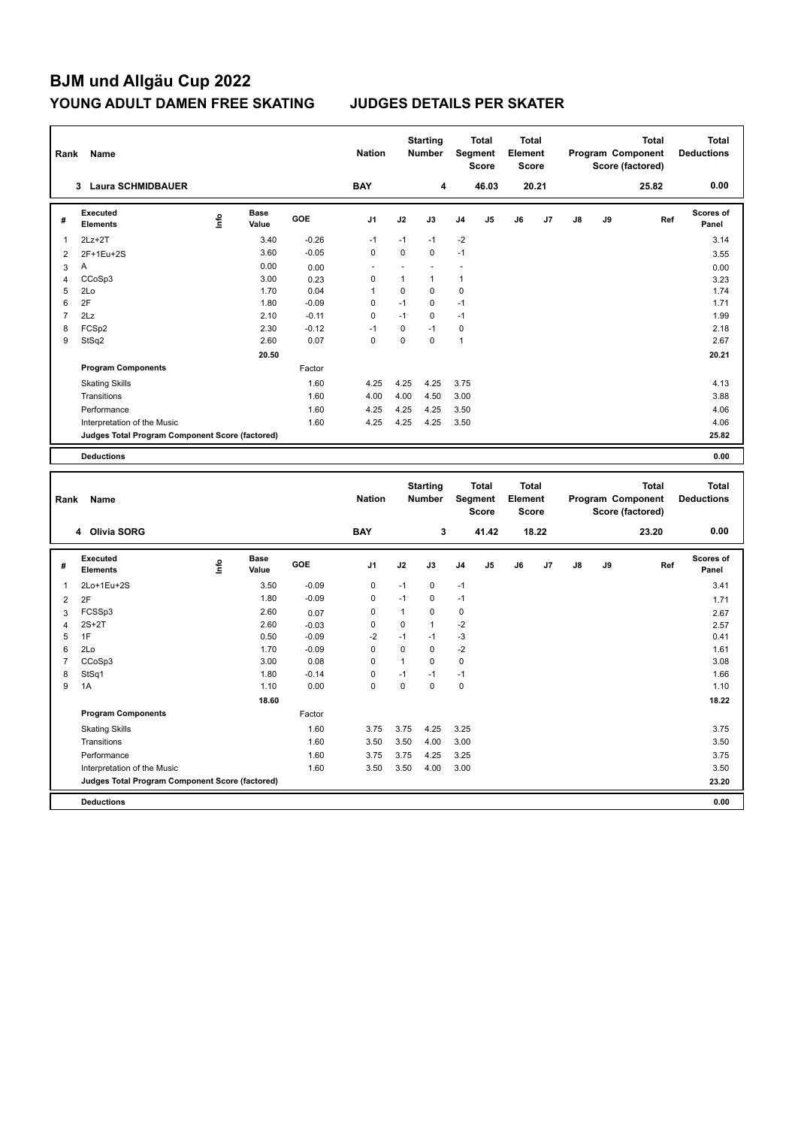| Rank           | Name                                            |      |                      |         | <b>Nation</b>  |                | <b>Starting</b><br><b>Number</b> |                | <b>Total</b><br>Segment<br><b>Score</b>        | <b>Total</b><br>Element<br><b>Score</b> |       |    | Program Component | <b>Total</b><br>Score (factored) |     | <b>Total</b><br><b>Deductions</b> |
|----------------|-------------------------------------------------|------|----------------------|---------|----------------|----------------|----------------------------------|----------------|------------------------------------------------|-----------------------------------------|-------|----|-------------------|----------------------------------|-----|-----------------------------------|
|                | 3 Laura SCHMIDBAUER                             |      |                      |         | <b>BAY</b>     |                | 4                                |                | 46.03                                          |                                         | 20.21 |    |                   | 25.82                            |     | 0.00                              |
| #              | <b>Executed</b><br><b>Elements</b>              | ١nfo | <b>Base</b><br>Value | GOE     | J <sub>1</sub> | J2             | J3                               | J4             | J <sub>5</sub>                                 | J6                                      | J7    | J8 | J9                |                                  | Ref | <b>Scores of</b><br>Panel         |
| $\mathbf{1}$   | $2Lz + 2T$                                      |      | 3.40                 | $-0.26$ | $-1$           | $-1$           | $-1$                             | $-2$           |                                                |                                         |       |    |                   |                                  |     | 3.14                              |
| $\overline{2}$ | 2F+1Eu+2S                                       |      | 3.60                 | $-0.05$ | $\mathbf 0$    | $\mathbf 0$    | $\mathbf 0$                      | $-1$           |                                                |                                         |       |    |                   |                                  |     | 3.55                              |
| $\mathbf{3}$   | A                                               |      | 0.00                 | 0.00    | ÷.             | $\overline{a}$ | $\overline{a}$                   | $\overline{a}$ |                                                |                                         |       |    |                   |                                  |     | 0.00                              |
| $\overline{4}$ | CCoSp3                                          |      | 3.00                 | 0.23    | $\mathbf 0$    | $\mathbf{1}$   | $\mathbf{1}$                     | $\mathbf{1}$   |                                                |                                         |       |    |                   |                                  |     | 3.23                              |
| 5              | 2Lo                                             |      | 1.70                 | 0.04    | $\mathbf{1}$   | $\pmb{0}$      | $\mathbf 0$                      | 0              |                                                |                                         |       |    |                   |                                  |     | 1.74                              |
| 6              | 2F                                              |      | 1.80                 | $-0.09$ | $\mathbf 0$    | $-1$           | $\mathbf 0$                      | $-1$           |                                                |                                         |       |    |                   |                                  |     | 1.71                              |
| $\overline{7}$ | 2Lz                                             |      | 2.10                 | $-0.11$ | $\mathbf 0$    | $-1$           | $\mathbf 0$                      | $-1$           |                                                |                                         |       |    |                   |                                  |     | 1.99                              |
| 8              | FCSp2                                           |      | 2.30                 | $-0.12$ | $-1$           | $\mathbf 0$    | $-1$                             | $\pmb{0}$      |                                                |                                         |       |    |                   |                                  |     | 2.18                              |
| 9              | StSq2                                           |      | 2.60                 | 0.07    | $\Omega$       | $\overline{0}$ | $\Omega$                         | $\mathbf{1}$   |                                                |                                         |       |    |                   |                                  |     | 2.67                              |
|                |                                                 |      | 20.50                |         |                |                |                                  |                |                                                |                                         |       |    |                   |                                  |     | 20.21                             |
|                | <b>Program Components</b>                       |      |                      | Factor  |                |                |                                  |                |                                                |                                         |       |    |                   |                                  |     |                                   |
|                | <b>Skating Skills</b>                           |      |                      | 1.60    | 4.25           | 4.25           | 4.25                             | 3.75           |                                                |                                         |       |    |                   |                                  |     | 4.13                              |
|                | Transitions                                     |      |                      | 1.60    | 4.00           | 4.00           | 4.50                             | 3.00           |                                                |                                         |       |    |                   |                                  |     | 3.88                              |
|                | Performance                                     |      |                      | 1.60    | 4.25           | 4.25           | 4.25                             | 3.50           |                                                |                                         |       |    |                   |                                  |     | 4.06                              |
|                | Interpretation of the Music                     |      |                      | 1.60    | 4.25           | 4.25           | 4.25                             | 3.50           |                                                |                                         |       |    |                   |                                  |     | 4.06                              |
|                | Judges Total Program Component Score (factored) |      |                      |         |                |                |                                  |                |                                                |                                         |       |    |                   |                                  |     | 25.82                             |
|                | <b>Deductions</b>                               |      |                      |         |                |                |                                  |                |                                                |                                         |       |    |                   |                                  |     | 0.00                              |
|                |                                                 |      |                      |         |                |                |                                  |                |                                                |                                         |       |    |                   |                                  |     |                                   |
|                |                                                 |      |                      |         |                |                |                                  |                |                                                |                                         |       |    |                   |                                  |     |                                   |
| Rank           | Name                                            |      |                      |         | <b>Nation</b>  |                | <b>Starting</b><br><b>Number</b> |                | <b>Total</b><br><b>Segment</b><br><b>Score</b> | <b>Total</b><br>Element<br><b>Score</b> |       |    | Program Component | <b>Total</b><br>Score (factored) |     | <b>Total</b><br><b>Deductions</b> |
|                | 4 Olivia SORG                                   |      |                      |         | <b>BAY</b>     |                | 3                                |                | 41.42                                          |                                         | 18.22 |    |                   | 23.20                            |     | 0.00                              |
| #              | <b>Executed</b><br><b>Elements</b>              | lnfo | <b>Base</b><br>Value | GOE     | J <sub>1</sub> | J2             | J3                               | J4             | J5                                             | J6                                      | J7    | J8 | J9                |                                  | Ref | Scores of<br>Panel                |
| $\mathbf{1}$   | 2Lo+1Eu+2S                                      |      | 3.50                 | $-0.09$ | $\mathbf 0$    | $-1$           | $\mathbf 0$                      | $-1$           |                                                |                                         |       |    |                   |                                  |     | 3.41                              |
| $\overline{2}$ | 2F                                              |      | 1.80                 | $-0.09$ | $\mathbf 0$    | $-1$           | $\mathbf 0$                      | $-1$           |                                                |                                         |       |    |                   |                                  |     | 1.71                              |
| $\mathbf{3}$   | FCSSp3                                          |      | 2.60                 | 0.07    | 0              | $\mathbf{1}$   | $\mathbf 0$                      | 0              |                                                |                                         |       |    |                   |                                  |     | 2.67                              |
| $\overline{4}$ | $2S+2T$                                         |      | 2.60                 | $-0.03$ | $\mathbf 0$    | $\mathbf 0$    | $\mathbf{1}$                     | $-2$           |                                                |                                         |       |    |                   |                                  |     | 2.57                              |
| 5              | 1F                                              |      | 0.50                 | $-0.09$ | $-2$           | $-1$           | $-1$                             | $-3$           |                                                |                                         |       |    |                   |                                  |     | 0.41                              |
| 6              | 2Lo                                             |      | 1.70                 | $-0.09$ | $\mathbf 0$    | $\mathbf 0$    | $\mathbf 0$                      | $-2$           |                                                |                                         |       |    |                   |                                  |     | 1.61                              |
| $\overline{7}$ | CCoSp3                                          |      | 3.00                 | 0.08    | $\mathbf 0$    | $\mathbf{1}$   | $\mathbf 0$                      | $\mathbf 0$    |                                                |                                         |       |    |                   |                                  |     | 3.08                              |
| 8              | StSq1                                           |      | 1.80                 | $-0.14$ | $\mathbf 0$    | $-1$           | $-1$                             | $-1$           |                                                |                                         |       |    |                   |                                  |     | 1.66                              |
| 9              | 1A                                              |      | 1.10                 | 0.00    | $\mathbf 0$    | $\mathbf 0$    | $\mathbf 0$                      | $\mathbf 0$    |                                                |                                         |       |    |                   |                                  |     | 1.10                              |
|                |                                                 |      | 18.60                |         |                |                |                                  |                |                                                |                                         |       |    |                   |                                  |     | 18.22                             |
|                | <b>Program Components</b>                       |      |                      | Factor  |                |                |                                  |                |                                                |                                         |       |    |                   |                                  |     |                                   |
|                | <b>Skating Skills</b>                           |      |                      | 1.60    | 3.75           | 3.75           | 4.25                             | 3.25           |                                                |                                         |       |    |                   |                                  |     | 3.75                              |
|                | Transitions                                     |      |                      | 1.60    | 3.50           | 3.50           | 4.00                             | 3.00           |                                                |                                         |       |    |                   |                                  |     | 3.50                              |
|                | Performance                                     |      |                      | 1.60    | 3.75           | 3.75           | 4.25                             | 3.25           |                                                |                                         |       |    |                   |                                  |     | 3.75                              |
|                | Interpretation of the Music                     |      |                      | 1.60    | 3.50           | 3.50           | 4.00                             | 3.00           |                                                |                                         |       |    |                   |                                  |     | 3.50                              |
|                | Judges Total Program Component Score (factored) |      |                      |         |                |                |                                  |                |                                                |                                         |       |    |                   |                                  |     | 23.20                             |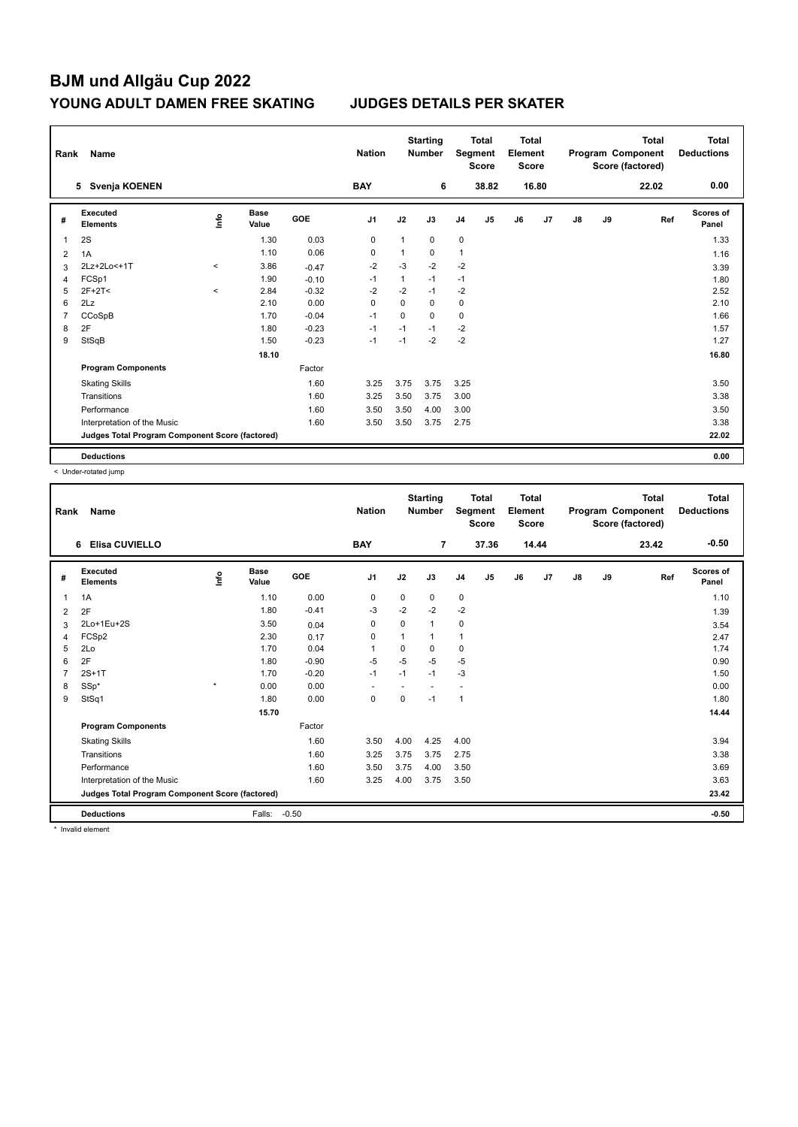| Rank | Name                                            |         |                      |         | <b>Nation</b>  |              | <b>Starting</b><br><b>Number</b> |                | <b>Total</b><br>Segment<br><b>Score</b> | Total<br>Element<br><b>Score</b> |       |    |    | <b>Total</b><br>Program Component<br>Score (factored) | Total<br><b>Deductions</b> |
|------|-------------------------------------------------|---------|----------------------|---------|----------------|--------------|----------------------------------|----------------|-----------------------------------------|----------------------------------|-------|----|----|-------------------------------------------------------|----------------------------|
|      | Svenja KOENEN<br>5                              |         |                      |         | <b>BAY</b>     |              | 6                                |                | 38.82                                   |                                  | 16.80 |    |    | 22.02                                                 | 0.00                       |
| #    | Executed<br><b>Elements</b>                     | ۴ů      | <b>Base</b><br>Value | GOE     | J <sub>1</sub> | J2           | J3                               | J <sub>4</sub> | J <sub>5</sub>                          | J6                               | J7    | J8 | J9 | Ref                                                   | Scores of<br>Panel         |
| 1    | 2S                                              |         | 1.30                 | 0.03    | 0              | $\mathbf{1}$ | 0                                | $\mathsf 0$    |                                         |                                  |       |    |    |                                                       | 1.33                       |
| 2    | 1A                                              |         | 1.10                 | 0.06    | 0              | $\mathbf{1}$ | 0                                | $\mathbf{1}$   |                                         |                                  |       |    |    |                                                       | 1.16                       |
| 3    | 2Lz+2Lo<+1T                                     | $\prec$ | 3.86                 | $-0.47$ | $-2$           | $-3$         | $-2$                             | $-2$           |                                         |                                  |       |    |    |                                                       | 3.39                       |
| 4    | FCSp1                                           |         | 1.90                 | $-0.10$ | $-1$           | $\mathbf{1}$ | $-1$                             | $-1$           |                                         |                                  |       |    |    |                                                       | 1.80                       |
| 5    | $2F+2T2$                                        | $\prec$ | 2.84                 | $-0.32$ | $-2$           | $-2$         | $-1$                             | $-2$           |                                         |                                  |       |    |    |                                                       | 2.52                       |
| 6    | 2Lz                                             |         | 2.10                 | 0.00    | 0              | 0            | 0                                | 0              |                                         |                                  |       |    |    |                                                       | 2.10                       |
| 7    | CCoSpB                                          |         | 1.70                 | $-0.04$ | $-1$           | $\Omega$     | $\Omega$                         | $\mathbf 0$    |                                         |                                  |       |    |    |                                                       | 1.66                       |
| 8    | 2F                                              |         | 1.80                 | $-0.23$ | $-1$           | $-1$         | $-1$                             | $-2$           |                                         |                                  |       |    |    |                                                       | 1.57                       |
| 9    | StSqB                                           |         | 1.50                 | $-0.23$ | $-1$           | $-1$         | $-2$                             | $-2$           |                                         |                                  |       |    |    |                                                       | 1.27                       |
|      |                                                 |         | 18.10                |         |                |              |                                  |                |                                         |                                  |       |    |    |                                                       | 16.80                      |
|      | <b>Program Components</b>                       |         |                      | Factor  |                |              |                                  |                |                                         |                                  |       |    |    |                                                       |                            |
|      | <b>Skating Skills</b>                           |         |                      | 1.60    | 3.25           | 3.75         | 3.75                             | 3.25           |                                         |                                  |       |    |    |                                                       | 3.50                       |
|      | Transitions                                     |         |                      | 1.60    | 3.25           | 3.50         | 3.75                             | 3.00           |                                         |                                  |       |    |    |                                                       | 3.38                       |
|      | Performance                                     |         |                      | 1.60    | 3.50           | 3.50         | 4.00                             | 3.00           |                                         |                                  |       |    |    |                                                       | 3.50                       |
|      | Interpretation of the Music                     |         |                      | 1.60    | 3.50           | 3.50         | 3.75                             | 2.75           |                                         |                                  |       |    |    |                                                       | 3.38                       |
|      | Judges Total Program Component Score (factored) |         |                      |         |                |              |                                  |                |                                         |                                  |       |    |    |                                                       | 22.02                      |
|      | <b>Deductions</b>                               |         |                      |         |                |              |                                  |                |                                         |                                  |       |    |    |                                                       | 0.00                       |

< Under-rotated jump

| Rank | Name                                            |         |                      |            | <b>Nation</b> |      | <b>Starting</b><br><b>Number</b> |                | <b>Total</b><br>Segment<br><b>Score</b> | <b>Total</b><br>Element<br><b>Score</b> |       |               |    | <b>Total</b><br>Program Component<br>Score (factored) | <b>Total</b><br><b>Deductions</b> |
|------|-------------------------------------------------|---------|----------------------|------------|---------------|------|----------------------------------|----------------|-----------------------------------------|-----------------------------------------|-------|---------------|----|-------------------------------------------------------|-----------------------------------|
|      | Elisa CUVIELLO<br>6                             |         |                      |            | <b>BAY</b>    |      | $\overline{7}$                   |                | 37.36                                   |                                         | 14.44 |               |    | 23.42                                                 | $-0.50$                           |
| #    | Executed<br><b>Elements</b>                     | Linfo   | <b>Base</b><br>Value | <b>GOE</b> | J1            | J2   | J3                               | J <sub>4</sub> | J5                                      | J6                                      | J7    | $\mathsf{J}8$ | J9 | Ref                                                   | <b>Scores of</b><br>Panel         |
| 1    | 1A                                              |         | 1.10                 | 0.00       | 0             | 0    | 0                                | 0              |                                         |                                         |       |               |    |                                                       | 1.10                              |
| 2    | 2F                                              |         | 1.80                 | $-0.41$    | -3            | $-2$ | $-2$                             | $-2$           |                                         |                                         |       |               |    |                                                       | 1.39                              |
| 3    | 2Lo+1Eu+2S                                      |         | 3.50                 | 0.04       | 0             | 0    | 1                                | 0              |                                         |                                         |       |               |    |                                                       | 3.54                              |
| 4    | FCSp2                                           |         | 2.30                 | 0.17       | 0             |      | 1                                | $\overline{1}$ |                                         |                                         |       |               |    |                                                       | 2.47                              |
| 5    | 2Lo                                             |         | 1.70                 | 0.04       | $\mathbf{1}$  | 0    | 0                                | 0              |                                         |                                         |       |               |    |                                                       | 1.74                              |
| 6    | 2F                                              |         | 1.80                 | $-0.90$    | $-5$          | $-5$ | $-5$                             | $-5$           |                                         |                                         |       |               |    |                                                       | 0.90                              |
|      | $2S+1T$                                         |         | 1.70                 | $-0.20$    | $-1$          | $-1$ | $-1$                             | $-3$           |                                         |                                         |       |               |    |                                                       | 1.50                              |
| 8    | SSp*                                            | $\star$ | 0.00                 | 0.00       |               |      |                                  |                |                                         |                                         |       |               |    |                                                       | 0.00                              |
| 9    | StSq1                                           |         | 1.80                 | 0.00       | $\mathbf 0$   | 0    | $-1$                             | $\mathbf{1}$   |                                         |                                         |       |               |    |                                                       | 1.80                              |
|      |                                                 |         | 15.70                |            |               |      |                                  |                |                                         |                                         |       |               |    |                                                       | 14.44                             |
|      | <b>Program Components</b>                       |         |                      | Factor     |               |      |                                  |                |                                         |                                         |       |               |    |                                                       |                                   |
|      | <b>Skating Skills</b>                           |         |                      | 1.60       | 3.50          | 4.00 | 4.25                             | 4.00           |                                         |                                         |       |               |    |                                                       | 3.94                              |
|      | Transitions                                     |         |                      | 1.60       | 3.25          | 3.75 | 3.75                             | 2.75           |                                         |                                         |       |               |    |                                                       | 3.38                              |
|      | Performance                                     |         |                      | 1.60       | 3.50          | 3.75 | 4.00                             | 3.50           |                                         |                                         |       |               |    |                                                       | 3.69                              |
|      | Interpretation of the Music                     |         |                      | 1.60       | 3.25          | 4.00 | 3.75                             | 3.50           |                                         |                                         |       |               |    |                                                       | 3.63                              |
|      | Judges Total Program Component Score (factored) |         |                      |            |               |      |                                  |                |                                         |                                         |       |               |    |                                                       | 23.42                             |
|      | <b>Deductions</b>                               |         | Falls:               | $-0.50$    |               |      |                                  |                |                                         |                                         |       |               |    |                                                       | $-0.50$                           |

\* Invalid element